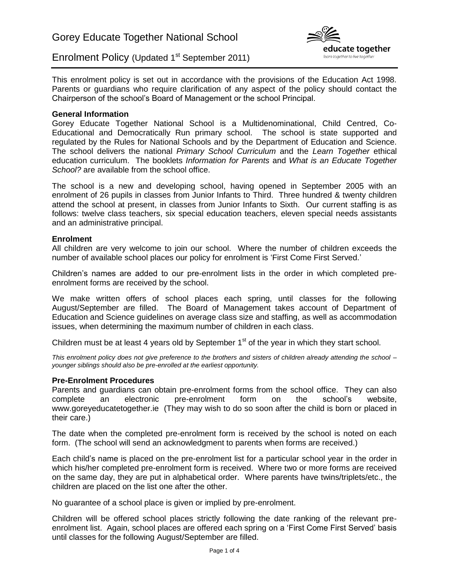



This enrolment policy is set out in accordance with the provisions of the Education Act 1998. Parents or guardians who require clarification of any aspect of the policy should contact the Chairperson of the school's Board of Management or the school Principal.

## **General Information**

Gorey Educate Together National School is a Multidenominational, Child Centred, Co-Educational and Democratically Run primary school. The school is state supported and regulated by the Rules for National Schools and by the Department of Education and Science. The school delivers the national *Primary School Curriculum* and the *Learn Together* ethical education curriculum. The booklets *Information for Parents* and *What is an Educate Together School?* are available from the school office.

The school is a new and developing school, having opened in September 2005 with an enrolment of 26 pupils in classes from Junior Infants to Third. Three hundred & twenty children attend the school at present, in classes from Junior Infants to Sixth. Our current staffing is as follows: twelve class teachers, six special education teachers, eleven special needs assistants and an administrative principal.

### **Enrolment**

All children are very welcome to join our school. Where the number of children exceeds the number of available school places our policy for enrolment is 'First Come First Served.'

Children's names are added to our pre-enrolment lists in the order in which completed preenrolment forms are received by the school.

We make written offers of school places each spring, until classes for the following August/September are filled. The Board of Management takes account of Department of Education and Science guidelines on average class size and staffing, as well as accommodation issues, when determining the maximum number of children in each class.

Children must be at least 4 years old by September  $1<sup>st</sup>$  of the year in which they start school.

*This enrolment policy does not give preference to the brothers and sisters of children already attending the school – younger siblings should also be pre-enrolled at the earliest opportunity.*

# **Pre-Enrolment Procedures**

Parents and guardians can obtain pre-enrolment forms from the school office. They can also complete an electronic pre-enrolment form on the school's website, www.goreyeducatetogether.ie (They may wish to do so soon after the child is born or placed in their care.)

The date when the completed pre-enrolment form is received by the school is noted on each form. (The school will send an acknowledgment to parents when forms are received.)

Each child's name is placed on the pre-enrolment list for a particular school year in the order in which his/her completed pre-enrolment form is received. Where two or more forms are received on the same day, they are put in alphabetical order. Where parents have twins/triplets/etc., the children are placed on the list one after the other.

No guarantee of a school place is given or implied by pre-enrolment.

Children will be offered school places strictly following the date ranking of the relevant preenrolment list. Again, school places are offered each spring on a 'First Come First Served' basis until classes for the following August/September are filled.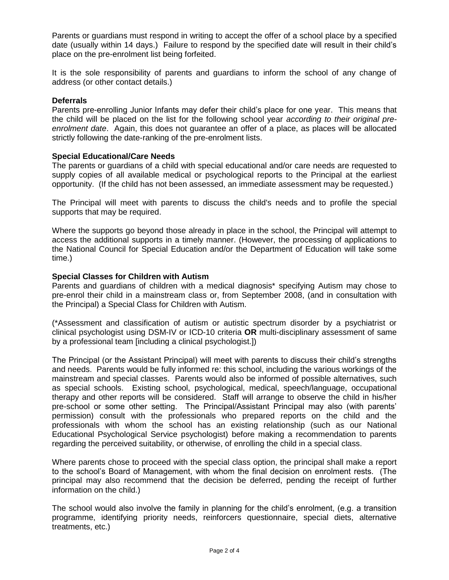Parents or guardians must respond in writing to accept the offer of a school place by a specified date (usually within 14 days.) Failure to respond by the specified date will result in their child's place on the pre-enrolment list being forfeited.

It is the sole responsibility of parents and guardians to inform the school of any change of address (or other contact details.)

### **Deferrals**

Parents pre-enrolling Junior Infants may defer their child's place for one year. This means that the child will be placed on the list for the following school year *according to their original preenrolment date*. Again, this does not guarantee an offer of a place, as places will be allocated strictly following the date-ranking of the pre-enrolment lists.

#### **Special Educational/Care Needs**

The parents or guardians of a child with special educational and/or care needs are requested to supply copies of all available medical or psychological reports to the Principal at the earliest opportunity. (If the child has not been assessed, an immediate assessment may be requested.)

The Principal will meet with parents to discuss the child's needs and to profile the special supports that may be required.

Where the supports go beyond those already in place in the school, the Principal will attempt to access the additional supports in a timely manner. (However, the processing of applications to the National Council for Special Education and/or the Department of Education will take some time.)

#### **Special Classes for Children with Autism**

Parents and guardians of children with a medical diagnosis\* specifying Autism may chose to pre-enrol their child in a mainstream class or, from September 2008, (and in consultation with the Principal) a Special Class for Children with Autism.

(\*Assessment and classification of autism or autistic spectrum disorder by a psychiatrist or clinical psychologist using DSM-IV or ICD-10 criteria **OR** multi-disciplinary assessment of same by a professional team [including a clinical psychologist.])

The Principal (or the Assistant Principal) will meet with parents to discuss their child's strengths and needs. Parents would be fully informed re: this school, including the various workings of the mainstream and special classes. Parents would also be informed of possible alternatives, such as special schools. Existing school, psychological, medical, speech/language, occupational therapy and other reports will be considered. Staff will arrange to observe the child in his/her pre-school or some other setting. The Principal/Assistant Principal may also (with parents' permission) consult with the professionals who prepared reports on the child and the professionals with whom the school has an existing relationship (such as our National Educational Psychological Service psychologist) before making a recommendation to parents regarding the perceived suitability, or otherwise, of enrolling the child in a special class.

Where parents chose to proceed with the special class option, the principal shall make a report to the school's Board of Management, with whom the final decision on enrolment rests. (The principal may also recommend that the decision be deferred, pending the receipt of further information on the child.)

The school would also involve the family in planning for the child's enrolment, (e.g. a transition programme, identifying priority needs, reinforcers questionnaire, special diets, alternative treatments, etc.)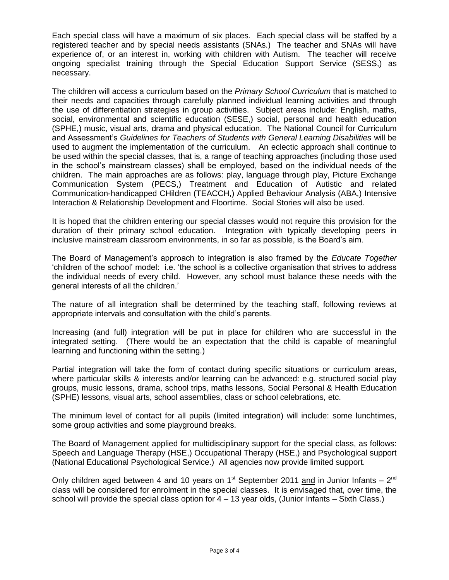Each special class will have a maximum of six places. Each special class will be staffed by a registered teacher and by special needs assistants (SNAs.) The teacher and SNAs will have experience of, or an interest in, working with children with Autism. The teacher will receive ongoing specialist training through the Special Education Support Service (SESS,) as necessary.

The children will access a curriculum based on the *Primary School Curriculum* that is matched to their needs and capacities through carefully planned individual learning activities and through the use of differentiation strategies in group activities. Subject areas include: English, maths, social, environmental and scientific education (SESE,) social, personal and health education (SPHE,) music, visual arts, drama and physical education. The National Council for Curriculum and Assessment's *Guidelines for Teachers of Students with General Learning Disabilities* will be used to augment the implementation of the curriculum. An eclectic approach shall continue to be used within the special classes, that is, a range of teaching approaches (including those used in the school's mainstream classes) shall be employed, based on the individual needs of the children. The main approaches are as follows: play, language through play, Picture Exchange Communication System (PECS,) Treatment and Education of Autistic and related Communication-handicapped CHildren (TEACCH,) Applied Behaviour Analysis (ABA,) Intensive Interaction & Relationship Development and Floortime. Social Stories will also be used.

It is hoped that the children entering our special classes would not require this provision for the duration of their primary school education. Integration with typically developing peers in inclusive mainstream classroom environments, in so far as possible, is the Board's aim.

The Board of Management's approach to integration is also framed by the *Educate Together* 'children of the school' model: i.e. 'the school is a collective organisation that strives to address the individual needs of every child. However, any school must balance these needs with the general interests of all the children.'

The nature of all integration shall be determined by the teaching staff, following reviews at appropriate intervals and consultation with the child's parents.

Increasing (and full) integration will be put in place for children who are successful in the integrated setting. (There would be an expectation that the child is capable of meaningful learning and functioning within the setting.)

Partial integration will take the form of contact during specific situations or curriculum areas, where particular skills & interests and/or learning can be advanced: e.g. structured social play groups, music lessons, drama, school trips, maths lessons, Social Personal & Health Education (SPHE) lessons, visual arts, school assemblies, class or school celebrations, etc.

The minimum level of contact for all pupils (limited integration) will include: some lunchtimes, some group activities and some playground breaks.

The Board of Management applied for multidisciplinary support for the special class, as follows: Speech and Language Therapy (HSE,) Occupational Therapy (HSE,) and Psychological support (National Educational Psychological Service.) All agencies now provide limited support.

Only children aged between 4 and 10 years on 1<sup>st</sup> September 2011 and in Junior Infants – 2<sup>nd</sup> class will be considered for enrolment in the special classes. It is envisaged that, over time, the school will provide the special class option for 4 – 13 year olds, (Junior Infants – Sixth Class.)